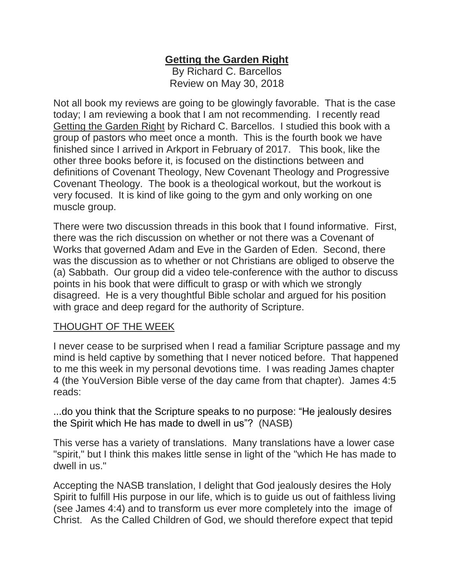## **Getting the Garden Right**

By Richard C. Barcellos Review on May 30, 2018

Not all book my reviews are going to be glowingly favorable. That is the case today; I am reviewing a book that I am not recommending. I recently read Getting the Garden Right by Richard C. Barcellos. I studied this book with a group of pastors who meet once a month. This is the fourth book we have finished since I arrived in Arkport in February of 2017. This book, like the other three books before it, is focused on the distinctions between and definitions of Covenant Theology, New Covenant Theology and Progressive Covenant Theology. The book is a theological workout, but the workout is very focused. It is kind of like going to the gym and only working on one muscle group.

There were two discussion threads in this book that I found informative. First, there was the rich discussion on whether or not there was a Covenant of Works that governed Adam and Eve in the Garden of Eden. Second, there was the discussion as to whether or not Christians are obliged to observe the (a) Sabbath. Our group did a video tele-conference with the author to discuss points in his book that were difficult to grasp or with which we strongly disagreed. He is a very thoughtful Bible scholar and argued for his position with grace and deep regard for the authority of Scripture.

## THOUGHT OF THE WEEK

I never cease to be surprised when I read a familiar Scripture passage and my mind is held captive by something that I never noticed before. That happened to me this week in my personal devotions time. I was reading James chapter 4 (the YouVersion Bible verse of the day came from that chapter). James 4:5 reads:

...do you think that the Scripture speaks to no purpose: "He jealously desires the Spirit which He has made to dwell in us"? (NASB)

This verse has a variety of translations. Many translations have a lower case "spirit," but I think this makes little sense in light of the "which He has made to dwell in us."

Accepting the NASB translation, I delight that God jealously desires the Holy Spirit to fulfill His purpose in our life, which is to guide us out of faithless living (see James 4:4) and to transform us ever more completely into the image of Christ. As the Called Children of God, we should therefore expect that tepid